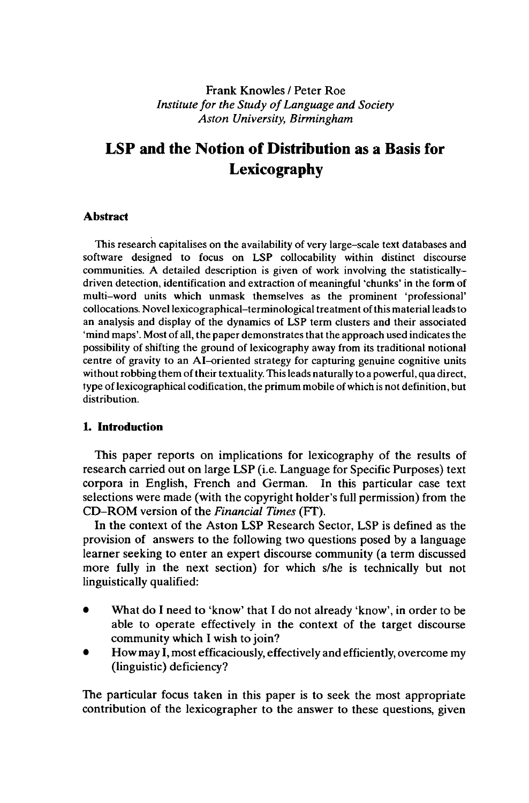## Frank Knowles / Peter Roe *Institute for the Study ofLanguage and Society Aston University, Birmingham*

# **LSP and the Notion of Distribution as a Basis for Lexicography**

### **Abstract**

This research capitalises on the availability of very large-scale text databases and software designed to focus on LSP collocability within distinct discourse communities. A detailed description is given of work involving the statisticallydriven detection, identification and extraction of meaningful 'chunks' in the form of multi-word units which unmask themselves as the prominent 'professional' collocations. Novel lexicographical-terminological treatment ofthis material leadsto an analysis and display of the dynamics of LSP term clusters and their associated 'mind maps'. Most of all, the paper demonstrates that the approach used indicates the possibility of shifting the ground of lexicography away from its traditional notional centre of gravity to an AI-oriented strategy for capturing genuine cognitive units without robbing them of their textuality. This leads naturally to a powerful, qua direct, type of lexicographical codification, the primum mobile of which is not definition, but distribution.

### **1. Introduction**

This paper reports on implications for lexicography of the results of research carried out on large LSP (i.e. Language for Specific Purposes) text corpora in English, French and German. In this particular case text selections were made (with the copyright holder's full permission) from the CD-ROM version of the *Financial Times* (FT).

In the context of the Aston LSP Research Sector, LSP is defined as the provision of answers to the following two questions posed by a language learner seeking to enter an expert discourse community (a term discussed more fully in the next section) for which s/he is technically but not linguistically qualified:

- What do I need to 'know' that I do not already 'know', in order to be able to operate effectively in the context of the target discourse community which I wish to join?
- How may I, most efficaciously, effectively and efficiently, overcome my (linguistic) deficiency?

The particular focus taken in this paper is to seek the most appropriate contribution of the lexicographer to the answer to these questions, given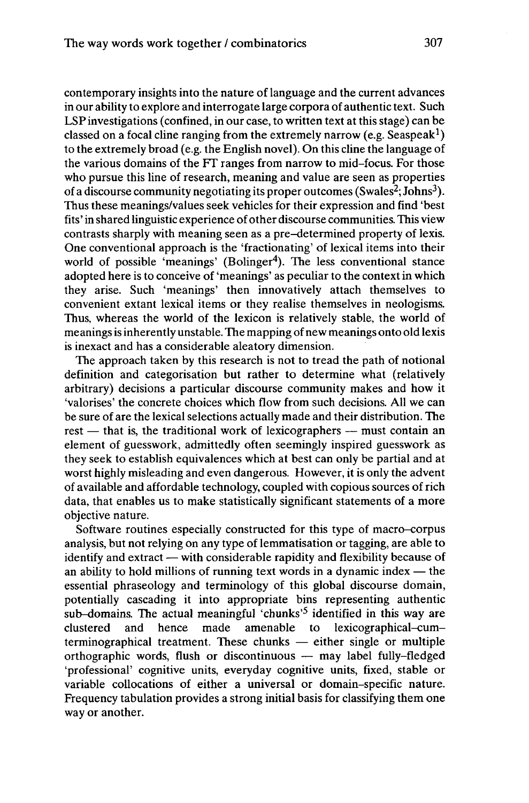contemporary insights into the nature of language and the current advances in our ability to explore and interrogate large corpora of authentic text. Such LSPinvestigations (confined, in our case, to written text at this stage) can be classed on a focal cline ranging from the extremely narrow (e.g. Seaspeak<sup>1</sup>) to the extremely broad (e.g. the English novel). On this cline the language of the various domains of the FT ranges from narrow to mid-focus. For those who pursue this line of research, meaning and value are seen as properties of a discourse community negotiating its proper outcomes (Swales<sup>2</sup>; Johns<sup>3</sup>). Thus these meanings/values seek vehicles for their expression and find 'best fits' in shared linguistic experience ofother discourse communities. This view contrasts sharply with meaning seen as a pre-determined property of lexis. One conventional approach is the 'fractionating' of lexical items into their world of possible 'meanings' (Bolinger<sup>4</sup>). The less conventional stance adopted here is to conceive of 'meanings' as peculiar to the contextin which they arise. Such 'meanings' then innovatively attach themselves to convenient extant lexical items or they realise themselves in neologisms. Thus, whereas the world of the lexicon is relatively stable, the world of meanings is inherently unstable. The mapping of new meanings onto old lexis is inexact and has a considerable aleatory dimension.

The approach taken by this research is not to tread the path of notional definition and categorisation but rather to determine what (relatively arbitrary) decisions a particular discourse community makes and how it 'valorises' the concrete choices which flow from such decisions. All we can be sure of are the lexical selections actually made and their distribution. The rest — that is, the traditional work of lexicographers — must contain an element of guesswork, admittedly often seemingly inspired guesswork as they seek to establish equivalences which at best can only be partial and at worst highly misleading and even dangerous. However, it is only the advent of available and affordable technology, coupled with copious sources of rich data, that enables us to make statistically significant statements of a more objective nature.

Software routines especially constructed for this type of macro-corpus analysis, but not relying on any type of lemmatisation or tagging, are able to analysis, but not relying on any type of lemmatisation or tagging, are able to<br>identify and extract — with considerable rapidity and flexibility because of identify and extract — with considerable rapidity and flexibility because of<br>an ability to hold millions of running text words in a dynamic index — the essential phraseology and terminology of this global discourse domain, potentially cascading it into appropriate bins representing authentic sub-domains. The actual meaningful 'chunks'<sup>5</sup> identified in this way are clustered and hence made amenable to lexicographical-cumterminographical treatment. These chunks  $-$  either single or multiple orthographic words, flush or discontinuous  $-$  may label fully-fledged 'professional' cognitive units, everyday cognitive units, fixed, stable or variable collocations of either a universal or domain-specific nature. Frequency tabulation provides a strong initial basis for classifying them one way or another.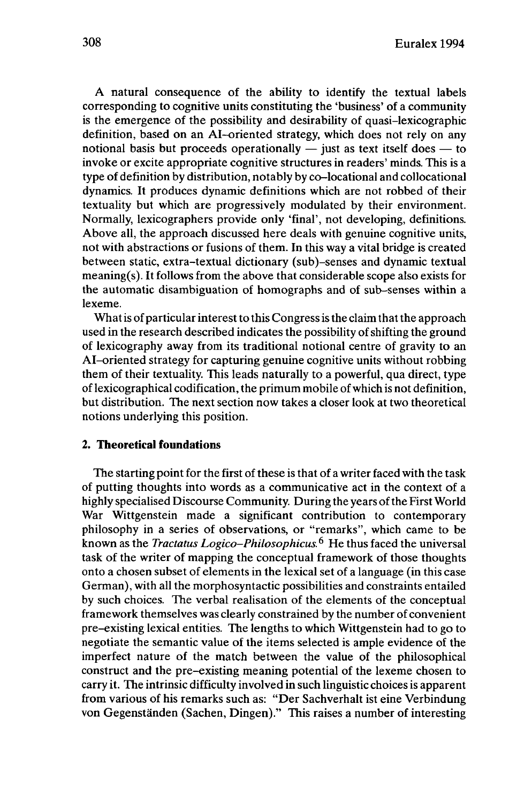A natural consequence of the ability to identify the textual labels corresponding to cognitive units constituting the 'business' of a community is the emergence of the possibility and desirability of quasi-lexicographic definition, based on an AI-oriented strategy, which does not rely on any<br>notional basis but proceeds operationally  $-$  just as text itself does  $-$  to<br>involve a proceed to proceed the strategy of the SI in intervals. invoke or excite appropriate cognitive structures in readers' minds. This is a type of definition by distribution, notably by co-locational and collocational dynamics. It produces dynamic definitions which are not robbed of their textuality but which are progressively modulated by their environment. Normally, lexicographers provide only 'final', not developing, definitions. Above all, the approach discussed here deals with genuine cognitive units, not with abstractions or fusions of them. In this way a vital bridge is created between static, extra-textual dictionary (sub)-senses and dynamic textual meaning(s). It follows from the above that considerable scope also exists for the automatic disambiguation of homographs and of sub-senses within a lexeme.

What is of particular interest to this Congress is the claim that the approach used in the research described indicates the possibility of shifting the ground of lexicography away from its traditional notional centre of gravity to an AI-oriented strategy for capturing genuine cognitive units without robbing them of their textuality. This leads naturally to a powerful, qua direct, type of lexicographical codification, the primum mobile ofwhich is not definition, but distribution. The next section now takes a closer look at two theoretical notions underlying this position.

### **2. Theoretical foundations**

The starting point for the first of these is that of a writer faced with the task of putting thoughts into words as a communicative act in the context of a highly specialised Discourse Community. During the years of the First World War Wittgenstein made a significant contribution to contemporary philosophy in a series of observations, or "remarks", which came to be known as the *Tractatus Logico-Philosophicus.<sup>6</sup>* He thus faced the universal task of the writer of mapping the conceptual framework of those thoughts onto a chosen subset of elements in the lexical set of a language (in this case German), with all the morphosyntactic possibilities and constraints entailed by such choices. The verbal realisation of the elements of the conceptual framework themselves was clearly constrained by the number of convenient pre-existing lexical entities. The lengths to which Wittgenstein had to go to negotiate the semantic value of the items selected is ample evidence of the imperfect nature of the match between the value of the philosophical construct and the pre-existing meaning potential of the lexeme chosen to carry it. The intrinsic difficulty involved in such linguistic choices is apparent from various of his remarks such as: "Der Sachverhalt ist eine Verbindung von Gegenständen (Sachen, Dingen)." This raises a number of interesting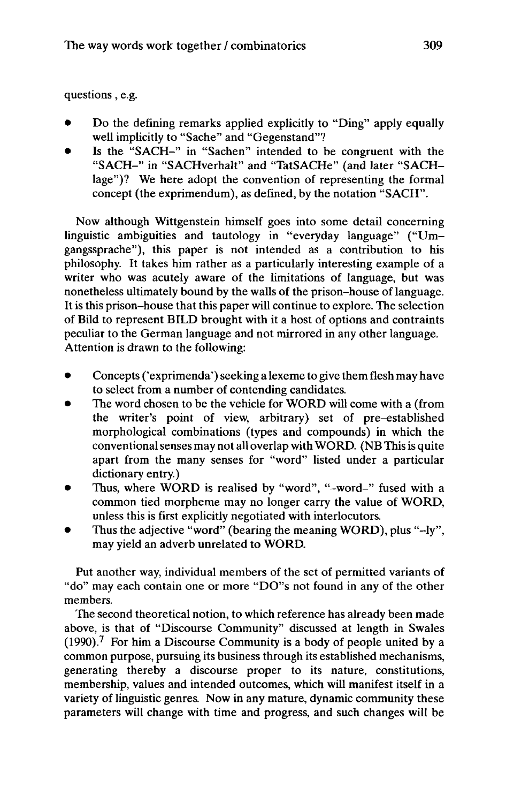questions, e.g.

- Do the defining remarks applied explicitly to "Ding" apply equally well implicitly to "Sache" and "Gegenstand"?
- Is the "SACH-" in "Sachen" intended to be congruent with the "SACH-" in "SACHverhalt" and "TatSACHe" (and later "SACHlage")? We here adopt the convention of representing the formal concept (the exprimendum), as defined, by the notation "SACH".

Now although Wittgenstein himself goes into some detail concerning linguistic ambiguities and tautology in "everyday language" ("Umgangssprache"), this paper is not intended as a contribution to his philosophy. It takes him rather as a particularly interesting example of a writer who was acutely aware of the limitations of language, but was nonetheless ultimately bound by the walls of the prison-house of language. It is this prison-house that this paper will continue to explore. The selection of Bild to represent BILD brought with it a host of options and contraints peculiar to the German language and not mirrored in any other language. Attention is drawn to the following:

- Concepts ('exprimenda') seeking a lexeme to give them flesh may have to select from a number of contending candidates.
- The word chosen to be the vehicle for WORD will come with a (from the writer's point of view, arbitrary) set of pre-established morphological combinations (types and compounds) in which the conventionalsenses may not all overlap with WORD. (NB Thisis quite apart from the many senses for "word" listed under a particular dictionary entry.)
- Thus, where WORD is realised by "word", "-word-" fused with a common tied morpheme may no longer carry the value of WORD, unless this is first explicitly negotiated with interlocutors.
- Thus the adjective "word" (bearing the meaning WORD), plus "-ly", may yield an adverb unrelated to WORD.

Put another way, individual members of the set of permitted variants of "do" may each contain one or more "DO"s not found in any of the other members.

The second theoretical notion, to which reference has already been made above, is that of "Discourse Community" discussed at length in Swales  $(1990)$ .<sup>7</sup> For him a Discourse Community is a body of people united by a common purpose, pursuing its business through its established mechanisms, generating thereby a discourse proper to its nature, constitutions, membership, values and intended outcomes, which will manifest itself in a variety of linguistic genres. Now in any mature, dynamic community these parameters will change with time and progress, and such changes will be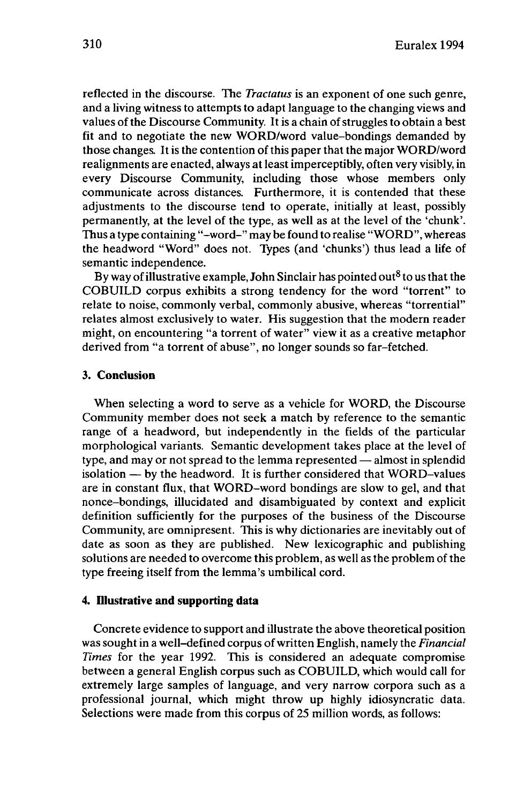reflected in the discourse. The *Tractatus* is an exponent of one such genre, and a living witness to attempts to adapt language to the changing views and values of the Discourse Community. It is a chain of struggles to obtain a best fit and to negotiate the new WORD/word value-bondings demanded by those changes. It is the contention of this paper that the major WORD/word realignments are enacted, always at leastimperceptibly, often very visibly, in every Discourse Community, including those whose members only communicate across distances. Furthermore, it is contended that these adjustments to the discourse tend to operate, initially at least, possibly permanently, at the level of the type, as well as at the level of the 'chunk'. Thus a type containing "-word-" may be found to realise "WORD", whereas the headword "Word" does not. Types (and 'chunks') thus lead a life of semantic independence.

By way of illustrative example, John Sinclair has pointed out<sup>8</sup> to us that the COBUILD corpus exhibits a strong tendency for the word "torrent" to relate to noise, commonly verbal, commonly abusive, whereas "torrential" relates almost exclusively to water. His suggestion that the modern reader might, on encountering "a torrent of water" view it as a creative metaphor derived from "a torrent of abuse", no longer sounds so far-fetched.

### **3. Conclusion**

When selecting a word to serve as a vehicle for WORD, the Discourse Community member does not seek a match by reference to the semantic range of a headword, but independently in the fields of the particular morphological variants. Semantic development takes place at the level of morphological variants. Semantic development takes place at the level of<br>type, and may or not spread to the lemma represented — almost in splendid type, and may or not spread to the lemma represented — almost in splendid<br>isolation — by the headword. It is further considered that WORD-values are in constant flux, that WORD-word bondings are slow to gel, and that nonce-bondings, illucidated and disambiguated by context and explicit definition sufficiently for the purposes of the business of the Discourse Community, are omnipresent. This is why dictionaries are inevitably out of date as soon as they are published. New lexicographic and publishing solutions are needed to overcome this problem, as well as the problem of the type freeing itself from the lemma's umbilical cord.

# **4. Illustrative and supporting data**

Concrete evidence to support and illustrate the above theoretical position was sought in a well-defined corpus of written English, namely the *Financial Times* for the year 1992. This is considered an adequate compromise between a general English corpus such as COBUILD, which would call for extremely large samples of language, and very narrow corpora such as a professional journal, which might throw up highly idiosyncratic data. Selections were made from this corpus of 25 million words, as follows: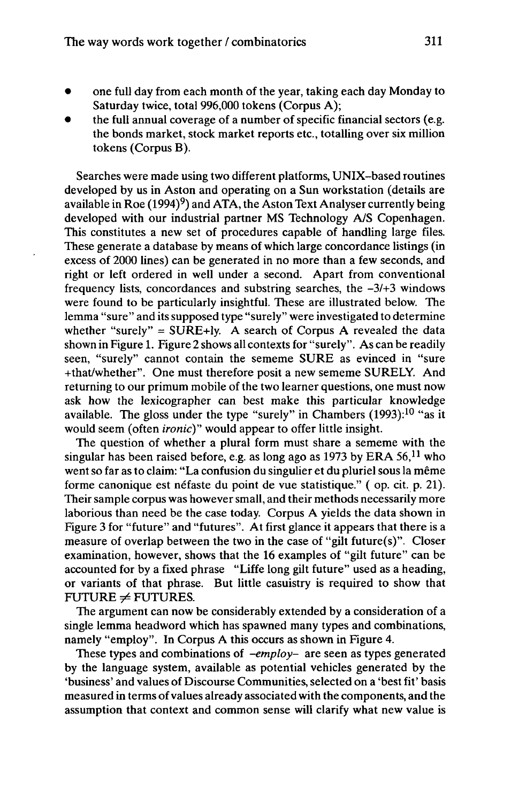- one full day from each month of the year, taking each day Monday to Saturday twice, total 996,000 tokens (Corpus A);
- the full annual coverage of a number of specific financial sectors (e.g. the bonds market, stock market reports etc., totalling over six million tokens (Corpus B).

Searches were made using two different platforms, UNIX-based routines developed by us in Aston and operating on a Sun workstation (details are available in Roe (1994)<sup>9</sup>) and ATA, the Aston Text Analyser currently being developed with our industrial partner MS Technology A/S Copenhagen. This constitutes a new set of procedures capable of handling large files. These generate a database by means of which large concordance listings (in excess of 2000 lines) can be generated in no more than a few seconds, and right or left ordered in well under a second. Apart from conventional frequency lists, concordances and substring searches, the *-31+3* windows were found to be particularly insightful. These are illustrated below. The lemma "sure" and its supposed type "surely" were investigated to determine whether "surely" =  $SURE+ly$ . A search of Corpus A revealed the data shown in Figure 1. Figure 2 shows all contexts for "surely". As can be readily seen, "surely" cannot contain the sememe SURE as evinced in "sure +that/whether". One must therefore posit a new sememe SURELY. And returning to our primum mobile of the two learner questions, one must now ask how the lexicographer can best make this particular knowledge available. The gloss under the type "surely" in Chambers  $(1993)$ :<sup>10</sup> "as it would seem (often *ironic)"* would appear to offer little insight.

The question of whether a plural form must share a sememe with the singular has been raised before, e.g. as long ago as 1973 by ERA  $56$ ,<sup>11</sup> who went so far as to claim: "La confusion du singulier et du pluriel sous la même forme canonique est néfaste du point de vue statistique." ( op. cit. p. 21). Their sample corpus was howeversmall, and their methods necessarily more laborious than need be the case today. Corpus A yields the data shown in Figure 3 for "future" and "futures". At first glance it appears that there is a measure of overlap between the two in the case of "gilt future(s)". Closer examination, however, shows that the 16 examples of "gilt future" can be accounted for by a fixed phrase "Liffe long gilt future" used as a heading, or variants of that phrase. But little casuistry is required to show that  $FUTURE \neq FUTURES$ .

The argument can now be considerably extended by a consideration of a single lemma headword which has spawned many types and combinations, namely "employ". In Corpus A this occurs as shown in Figure 4.

These types and combinations of *-employ-* are seen as types generated by the language system, available as potential vehicles generated by the 'business' and values of Discourse Communities, selected on a 'best fit' basis measured in terms ofvalues already associated with the components, and the assumption that context and common sense will clarify what new value is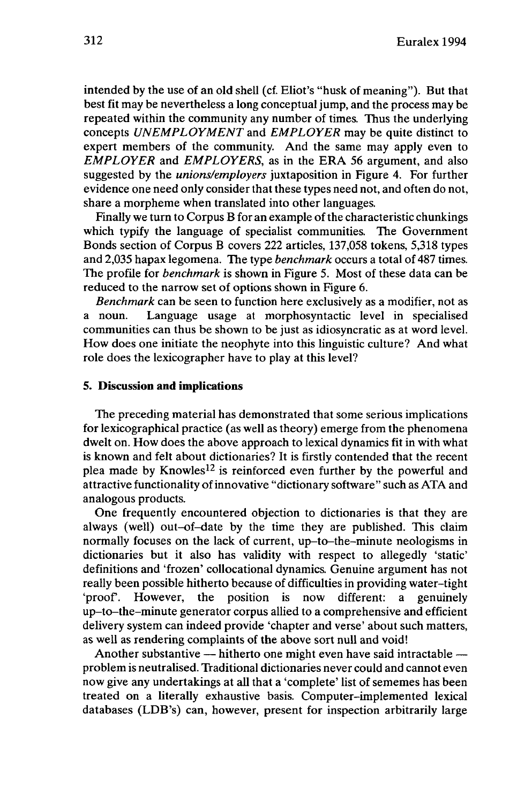intended by the use of an old shell (cf. Eliot's "husk of meaning"). But that best fit may be nevertheless a long conceptual jump, and the process may be repeated within the community any number of times. Thus the underlying concepts *UNEMPLOYMENT* and *EMPLOYER* may be quite distinct to expert members of the community. And the same may apply even to *EMPLOYER* and *EMPLOYERS,* as in the ERA 56 argument, and also suggested by the *unions/employers* juxtaposition in Figure 4. For further evidence one need only consider that these types need not, and often do not, share a morpheme when translated into other languages.

Finally we turn to Corpus B for an example of the characteristic chunkings which typify the language of specialist communities. The Government Bonds section of Corpus B covers 222 articles, 137,058 tokens, 5,318 types and 2,035 hapax legomena. The type *benchmark* occurs a total of 487 times. The profile for *benchmark* is shown in Figure 5. Most of these data can be reduced to the narrow set of options shown in Figure 6.

*Benchmark* can be seen to function here exclusively as a modifier, not as a noun. Language usage at morphosyntactic level in specialised communities can thus be shown to be just as idiosyncratic as at word level. How does one initiate the neophyte into this linguistic culture? And what role does the lexicographer have to play at this level?

#### **5. Discussion and implications**

The preceding material has demonstrated that some serious implications for lexicographical practice (as well as theory) emerge from the phenomena dwelt on. How does the above approach to lexical dynamics fit in with what is known and felt about dictionaries? It is firstly contended that the recent plea made by Knowles<sup>12</sup> is reinforced even further by the powerful and attractive functionality ofinnovative "dictionary software" such as ATA and analogous products.

One frequently encountered objection to dictionaries is that they are always (well) out-of-date by the time they are published. This claim normally focuses on the lack of current, up-to-the-minute neologisms in dictionaries but it also has validity with respect to allegedly 'static' definitions and 'frozen' collocational dynamics. Genuine argument has not really been possible hitherto because of difficulties in providing water-tight 'proof. However, the position is now different: a genuinely up-to-the-minute generator corpus allied to a comprehensive and efficient delivery system can indeed provide 'chapter and verse' about such matters, as well as rendering complaints of the above sort null and void!

Another substantive  $-$  hitherto one might even have said intractable  $$ problem is neutralised. Traditional dictionaries never could and cannot even now give any undertakings at all that a 'complete' list of sememes has been treated on a literally exhaustive basis. Computer-implemented lexical databases (LDB's) can, however, present for inspection arbitrarily large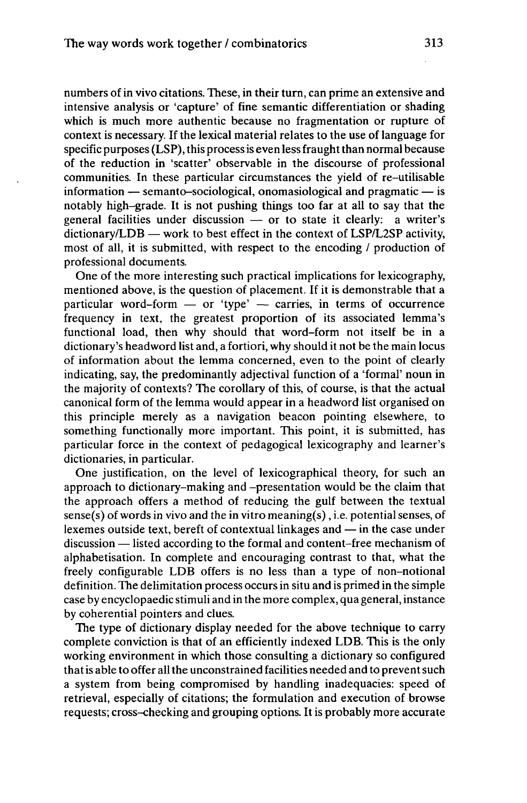numbers of in vivo citations. These, in their turn, can prime an extensive and intensive analysis or 'capture' of fine semantic differentiation or shading which is much more authentic because no fragmentation or rupture of context is necessary. If the lexical material relates to the use of language for specific purposes  $(LSP)$ , this process is even less fraught than normal because of the reduction in 'scatter' observable in the discourse of professional communities. In these particular circumstances the yield of re-utilisable<br>information — semanto-sociological, onomasiological and pragmatic — is notably high-grade. It is not pushing things too far at all to say that the notably high-grade. It is not pushing things too far at all to say that the general facilities under discussion  $-$  or to state it clearly: a writer's general facilities under discussion  $-$  or to state it clearly: a writer's dictionary/LDB  $-$  work to best effect in the context of LSP/L2SP activity, most of all, it is submitted, with respect to the encoding / production of professional documents.

One of the more interesting such practical implications for lexicography, mentioned above, is the question of placement. If it is demonstrable that a particular word-form  $-$  or 'type'  $-$  carries, in terms of occurrence frequency in text, the greatest proportion of its associated lemma's functional load, then why should that word-form not itself be in a dictionary's headword list and, a fortiori, why should it not be the main locus of information about the lemma concerned, even to the point of clearly indicating, say, the predominantly adjectival function of a 'formal' noun in the majority of contexts? The corollary of this, of course, is that the actual canonical form of the lemma would appear in a headword list organised on this principle merely as a navigation beacon pointing elsewhere, to something functionally more important. This point, it is submitted, has particular force in the context of pedagogical lexicography and learner's dictionaries, in particular.

One justification, on the level of lexicographical theory, for such an approach to dictionary-making and -presentation would be the claim that the approach offers a method of reducing the gulf between the textual sense(s) of words in vivo and the in vitro meaning(s), i.e. potential senses, of lexemes outside text, bereft of contextual linkages and — in the case under lexemes outside text, bereft of contextual linkages and — in the case under discussion — listed according to the formal and content-free mechanism of alphabétisation. In complete and encouraging contrast to that, what the freely configurable LDB offers is no less than a type of non-notional definition. The delimitation process occurs in situ and is primed in the simple case by encyclopaedic stimuli and in the more complex, qua general, instance by coherential pointers and clues.

The type of dictionary display needed for the above technique to carry complete conviction is that of an efficiently indexed LDB. This is the only working environment in which those consulting a dictionary so configured that is able to offer all the unconstrained facilities needed and to prevent such a system from being compromised by handling inadequacies: speed of retrieval, especially of citations; the formulation and execution of browse requests; cross-checking and grouping options. It is probably more accurate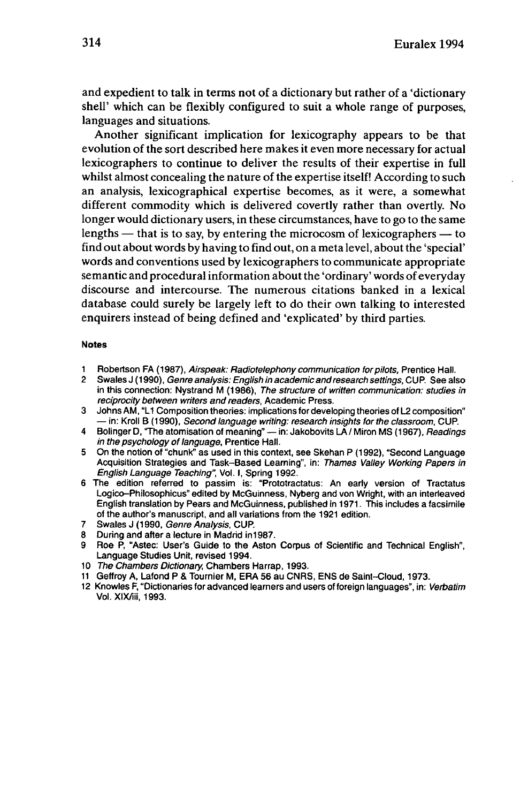and expedient to talk in terms not of a dictionary but rather of a 'dictionary shell' which can be flexibly configured to suit a whole range of purposes, languages and situations.

Another significant implication for lexicography appears to be that evolution of the sort described here makes it even more necessary for actual lexicographers to continue to deliver the results of their expertise in full whilst almost concealing the nature of the expertise itself! According to such an analysis, lexicographical expertise becomes, as it were, a somewhat different commodity which is delivered covertly rather than overtly. No longer would dictionary users, in these circumstances, have to go to the same lengths  $-$  that is to say, by entering the microcosm of lexicographers  $-$  to find out about words by having to find out, on a meta level, about the 'special' words and conventions used by lexicographers to communicate appropriate semantic and procedural information about the 'ordinary' words of everyday discourse and intercourse. The numerous citations banked in a lexical database could surely be largely left to do their own talking to interested enquirers instead of being defined and 'explicated' by third parties.

#### **Notes**

- 1 Robertson FA (1987), Airspeak: Radiotelephony communication for pilots, Prentice Hall.<br>2 Swales J (1990), Genre analysis: English in academic and research settings CUP, See all
- Swales J (1990), Genre analysis: English in academic and research settings, CUP. See also in this connection: Nystrand M (1986), The structure of written communication: studies in reciprocity between writers and readers, Academic Press.
- 3 Johns AM, "L1 Composition theories: implications for developing theories of L2 composition"<br>
in: Kroll B (1990), *Second language writing: research insights for the classroom*, CUP.<br>
The classroom, CUP. in: Kroll B (1990), *Second language writing: research insights for the classroom*, CUP.<br>4 Bolinger D, "The atomisation of meaning" — in: Jakobovits LA / Miron MS (1967), *Readings*
- in the psychology of language, Prentice Hall.
- 5 On the notion of "chunk" as used in this context, see Skehan P (1992), "Second Language Acquisition Strategies and Task-Based Learning", in: Thames Valley Working Papers in English Language Teaching", Vol. I, Spring 1992.
- 6 The edition referred to passim is: "Prototractatus: An early version of Tractatus Logico-Philosophicus" edited by McGuinness, Nyberg and von Wright, with an interleaved English translation by Pears and McGuinness, published in 1971. This includes a facsimile of the author's manuscript, and all variations from the 1921 edition.
- 7 Swales J (1990, Genre Analysis, CUP.
- 8 During and after a lecture in Madrid in1987.
- 9 Roe P, "Astec: User's Guide to the Aston Corpus of Scientific and Technical English", Language Studies Unit, revised 1994.
- 10 The Chambers Dictionary, Chambers Harrap, 1993.
- <sup>11</sup> Geffroy A, Lafond P & Tournier M, ERA 56 au CNRS, ENS de Saint-Cloud, 1973.
- 12 Knowles F, "Dictionaries for advanced learners and users of foreign languages", in: Verbatim Vol. XlX/iii, 1993.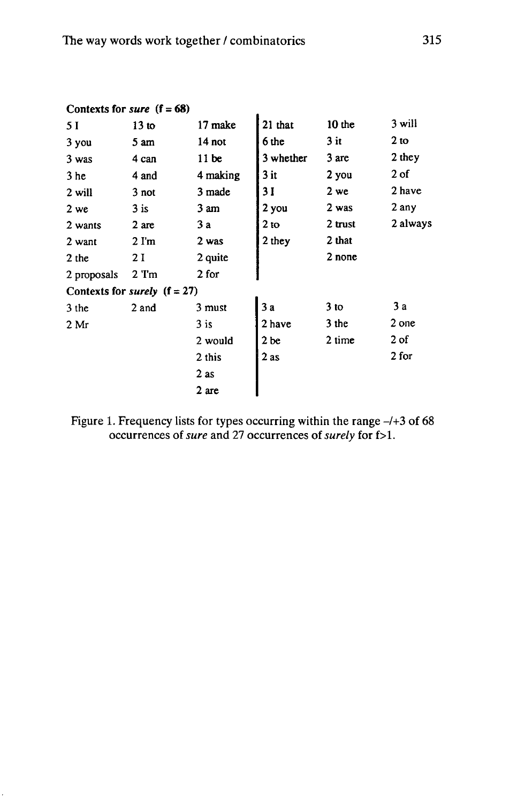|                 | Contexts for <i>sure</i> $(f = 68)$   |          |                 |           |                 |
|-----------------|---------------------------------------|----------|-----------------|-----------|-----------------|
| 5 I             | 13 <sub>to</sub>                      | 17 make  | 21 that         | $10$ the  | 3 will          |
| 3 you           | 5 <sub>am</sub>                       | 14 not   | 6 the           | $3$ it    | 2 <sub>to</sub> |
| $3$ was         | 4 can                                 | 11 be    | 3 whether       | 3 are     | 2 they          |
| 3 <sub>he</sub> | 4 and                                 | 4 making | $3$ it          | 2 you     | $2$ of          |
| 2 will          | 3 not                                 | 3 made   | 31              | 2 we      | 2 have          |
| 2 we            | $3$ is                                | 3 am     | 2 you           | 2 was     | 2 any           |
| 2 wants         | 2 are                                 | 3a       | 2 <sub>to</sub> | $2$ trust | 2 always        |
| 2 want          | $2 \text{ } \Gamma \text{m}$          | 2 was    | 2 they          | 2 that    |                 |
| 2 the           | 2 I                                   | 2 quite  |                 | 2 none    |                 |
| 2 proposals     | $2$ 'I'm                              | 2 for    |                 |           |                 |
|                 | Contexts for <i>surely</i> $(f = 27)$ |          |                 |           |                 |
| 3 the           | 2 and                                 | 3 must   | 3a              | $3$ to    | 3a              |
| 2 Mr            |                                       | $3$ is   | 2 have          | $3$ the   | 2 one           |
|                 |                                       | 2 would  | 2 <sub>be</sub> | 2 time    | 2 of            |
|                 |                                       | 2 this   | 2 as            |           | 2 for           |
|                 |                                       | $2$ as   |                 |           |                 |
|                 |                                       | 2 are    |                 |           |                 |

Figure 1. Frequency lists for types occurring within the range  $-/+3$  of 68 occurrences *ofsure* and 27 occurrences of*surely* for f>l.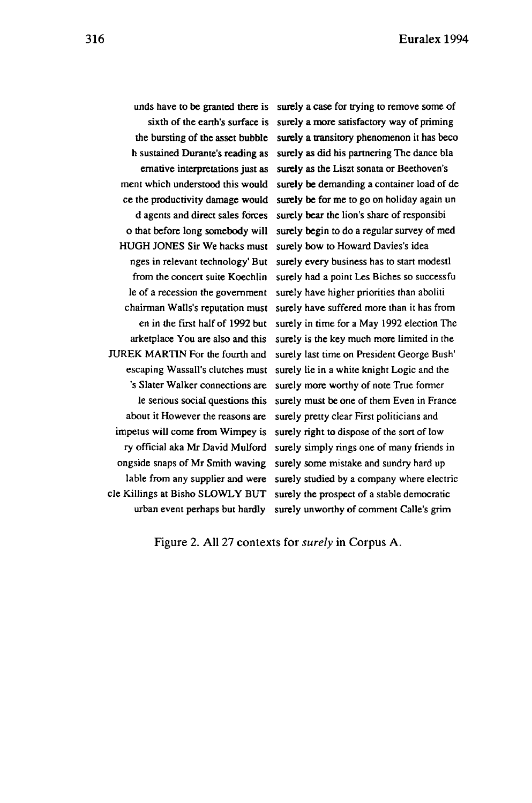unds have to be granted there is surely a case for trying to remove some of sixth of the earth's surface is surely a more satisfactory way of priming the bursting of the asset bubble surely a transitory phenomenon it has beco h sustained Durante's reading as surely as did his partnering The dance bla ernative interpretations just as surely as the Liszt sonata or Beethoven's ment which understood this would surely be demanding a container load of de ce the productivity damage would surely be for me to go on holiday again un d agents and direct sales forces surely bear the lion's share ofresponsibi o that before long somebody will surely begin to do a regular survey of med HUGH JONES Sir We hacks must surely bow to Howard Davies's idea nges in relevant technology' But surely every business has to start modestl from the concert suite Koechlin surely had a point Les Biches so successfu le of a recession the government surely have higher priorities than aboliti chairman Walls's reputation must surely have suffered more than it has from en in the first half of 1992 but surely in time for a May 1992 election The arketplace You are also and this surely is the key much more limited in the JUREK MARTIN For the fourth and surely last time on President George Bush' escaping Wassail's clutches must surely lie in a white knight Logic and the 's Slater Walker connections are surely more worthy of note True former le serious social questions this surely must be one of them Even in France about it However the reasons are surely pretty clear First politicians and impetus will come from Wimpey is surely right to dispose of the sort of low ry official aka Mr David Mulford surely simply rings one of many friends in ongside snaps of Mr Smith waving surely some mistake and sundry hard up lable from any supplier and were surely studied by a company where electric cle Killings at Bisho SLOWLY BUT surely the prospect of a stable democratic urban event perhaps but hardly surely unworthy of comment Calle's grim

Figure 2. All 27 contexts for *surely* in Corpus A.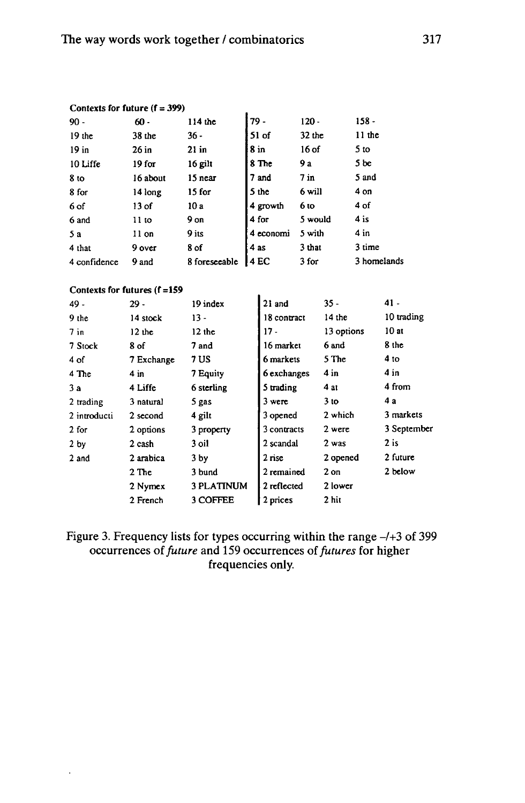| Contexts for future $(f = 399)$ |                   |               |           |          |                 |  |
|---------------------------------|-------------------|---------------|-----------|----------|-----------------|--|
| $90 -$                          | $60 -$            | 114 the       | 79 -      | $120 -$  | $158 -$         |  |
| $19$ the                        | $38$ the          | 36 -          | $51$ of   | $32$ the | $11$ the        |  |
| $19$ in                         | 26 in             | $21$ in       | 8 in      | 16 of    | 5 <sub>to</sub> |  |
| 10 Liffe                        | 19 <sub>for</sub> | 16 gilt       | 8 The     | 9 a      | 5 be            |  |
| 8 <sub>to</sub>                 | 16 about          | 15 near       | 7 and     | $7$ in   | 5 and           |  |
| 8 for                           | 14 long           | 15 for        | 5 the     | 6 will   | 4 on            |  |
| 6 of                            | 13 of             | 10 a          | 4 growth  | 6 to     | 4 of            |  |
| 6 and                           | 11 <sub>to</sub>  | 9 on          | 4 for     | 5 would  | $4$ is          |  |
| 5a                              | 11 on             | 9 its         | 4 economi | 5 with   | 4 in            |  |
| 4 that                          | 9 over            | 8 of          | 4 as      | 3 that   | 3 time          |  |
| 4 confidence                    | 9 and             | 8 foreseeable | 4 EC      | 3 for    | 3 homelands     |  |

### **Contexts for futures (f =159**

 $\ddot{\phantom{a}}$ 

| $29 -$     | 19 index          | 21 and      |                 | $41 -$      |
|------------|-------------------|-------------|-----------------|-------------|
| 14 stock   | $13 -$            | 18 contract | 14 the          | 10 trading  |
| $12$ the   | $12$ the          | $17 -$      | 13 options      | 10at        |
| 8 of       | 7 and             | 16 market   | 6 and           | 8 the       |
| 7 Exchange | 7 US              | 6 markets   | 5 The           | 4 to        |
| 4 in       | 7 Equity          | 6 exchanges | 4 in            | 4 in        |
| 4 Liffe    | 6 sterling        | 5 trading   | 4 at            | 4 from      |
| 3 natural  | 5 gas             | 3 were      | 3 <sub>to</sub> | 4 a         |
| 2 second   | 4 gilt            | 3 opened    | 2 which         | 3 markets   |
| 2 options  | 3 property        | 3 contracts | 2 were          | 3 September |
| 2 cash     | 3 oil             | 2 scandal   | 2 was           | $2$ is      |
| 2 arabica  | 3 <sub>by</sub>   | 2 rise      | 2 opened        | 2 future    |
| $2$ The    | 3 bund            | 2 remained  | $2$ on          | 2 below     |
| 2 Nymex    | <b>3 PLATINUM</b> | 2 reflected | 2 lower         |             |
| 2 French   | 3 COFFEE          | 2 prices    | 2 hit           |             |
|            |                   |             |                 | $35 -$      |

Figure 3. Frequency lists for types occurring within the range  $-/-3$  of 399 occurrences of*future* and 159 occurrences of*futures* for higher frequencies only.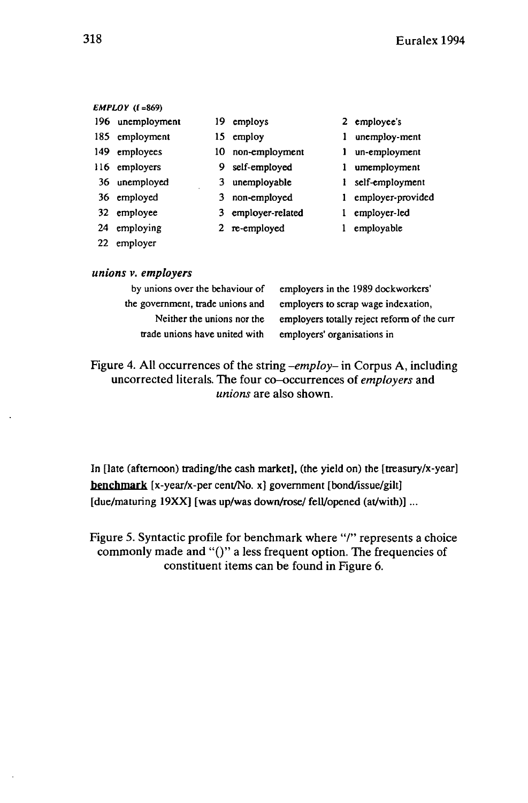#### *EMPLOY* **(f=869)**

- 196 unemployment 19 employs 2 employee's
- 
- 
- 
- 
- 
- 
- 
- 22 employer
- 
- 
- 149 employees 10 non-employment 1 un-employment
- 116 employers 9 self-employed 1 umemployment
- 36 unemployed 3 unemployable 1 self-employment
- 36 employed 3 non-employed <sup>1</sup> employer-provided
- 32 employee 3 employer-related <sup>1</sup> employer-led
- 24 employing 2 re-employed 1 employable
- 
- 185 employment 15 employ 1 unemploy-ment
	-
	-
	-
	-
	-
	-

### *unions v. employers*

| by unions over the behaviour of  | ť |
|----------------------------------|---|
| the government, trade unions and | € |
| Neither the unions nor the       | ć |
| trade unions have united with    | ċ |

employers in the 1989 dockworkers' employers to scrap wage indexation, employers totally reject reform of the curr employers' organisations in

Figure 4. All occurrences of the string *-employ-* in Corpus A, including uncorrected literals. The four co-occurrences of *employers* and *unions* are also shown.

In [late (afternoon) trading/the cash market], (the yield on) the [treasury/x-year] benchmark [x-year/x-per cent/No. x] government [bond/issue/gilt] [due/maturing 19XX] [was up/was down/rose/ fell/opened (at/with)] ...

Figure 5. Syntactic profile for benchmark where "/" represents a choice commonly made and "()" a less frequent option. The frequencies of constituent items can be found in Figure 6.